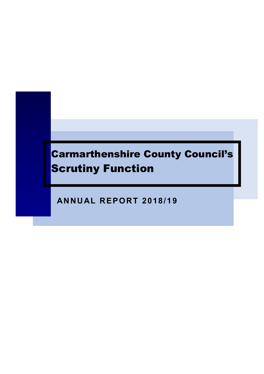# Carmarthenshire County Council's **Scrutiny Function**

**ANNUAL REPORT 2018/1 9**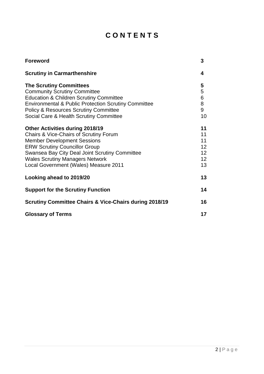# **C O N T E N T S**

| <b>Foreword</b>                                                   | 3  |
|-------------------------------------------------------------------|----|
| <b>Scrutiny in Carmarthenshire</b>                                | 4  |
| <b>The Scrutiny Committees</b>                                    | 5  |
| <b>Community Scrutiny Committee</b>                               | 5  |
| <b>Education &amp; Children Scrutiny Committee</b>                | 6  |
| <b>Environmental &amp; Public Protection Scrutiny Committee</b>   | 8  |
| <b>Policy &amp; Resources Scrutiny Committee</b>                  | 9  |
| Social Care & Health Scrutiny Committee                           | 10 |
| <b>Other Activities during 2018/19</b>                            | 11 |
| Chairs & Vice-Chairs of Scrutiny Forum                            | 11 |
| <b>Member Development Sessions</b>                                | 11 |
| <b>ERW Scrutiny Councillor Group</b>                              | 12 |
| Swansea Bay City Deal Joint Scrutiny Committee                    | 12 |
| <b>Wales Scrutiny Managers Network</b>                            | 12 |
| Local Government (Wales) Measure 2011                             | 13 |
| Looking ahead to 2019/20                                          | 13 |
| <b>Support for the Scrutiny Function</b>                          | 14 |
| <b>Scrutiny Committee Chairs &amp; Vice-Chairs during 2018/19</b> | 16 |
| <b>Glossary of Terms</b>                                          | 17 |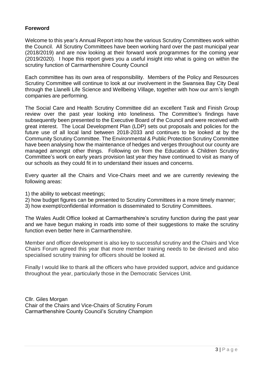## **Foreword**

Welcome to this year's Annual Report into how the various Scrutiny Committees work within the Council. All Scrutiny Committees have been working hard over the past municipal year (2018/2019) and are now looking at their forward work programmes for the coming year (2019/2020). I hope this report gives you a useful insight into what is going on within the scrutiny function of Carmarthenshire County Council

Each committee has its own area of responsibility. Members of the Policy and Resources Scrutiny Committee will continue to look at our involvement in the Swansea Bay City Deal through the Llanelli Life Science and Wellbeing Village, together with how our arm's length companies are performing.

The Social Care and Health Scrutiny Committee did an excellent Task and Finish Group review over the past year looking into loneliness. The Committee's findings have subsequently been presented to the Executive Board of the Council and were received with great interest. The Local Development Plan (LDP) sets out proposals and policies for the future use of all local land between 2018-2033 and continues to be looked at by the Community Scrutiny Committee. The Environmental & Public Protection Scrutiny Committee have been analysing how the maintenance of hedges and verges throughout our county are managed amongst other things. Following on from the Education & Children Scrutiny Committee's work on early years provision last year they have continued to visit as many of our schools as they could fit in to understand their issues and concerns.

Every quarter all the Chairs and Vice-Chairs meet and we are currently reviewing the following areas:

- 1) the ability to webcast meetings;
- 2) how budget figures can be presented to Scrutiny Committees in a more timely manner;
- 3) how exempt/confidential information is disseminated to Scrutiny Committees.

The Wales Audit Office looked at Carmarthenshire's scrutiny function during the past year and we have begun making in roads into some of their suggestions to make the scrutiny function even better here in Carmarthenshire.

Member and officer development is also key to successful scrutiny and the Chairs and Vice Chairs Forum agreed this year that more member training needs to be devised and also specialised scrutiny training for officers should be looked at.

Finally I would like to thank all the officers who have provided support, advice and guidance throughout the year, particularly those in the Democratic Services Unit.

Cllr. Giles Morgan Chair of the Chairs and Vice-Chairs of Scrutiny Forum Carmarthenshire County Council's Scrutiny Champion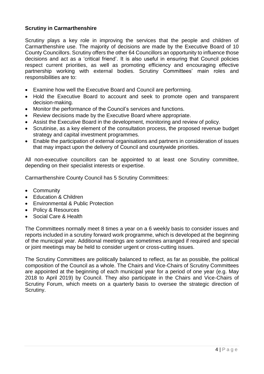## **Scrutiny in Carmarthenshire**

Scrutiny plays a key role in improving the services that the people and children of Carmarthenshire use. The majority of decisions are made by the Executive Board of 10 County Councillors. Scrutiny offers the other 64 Councillors an opportunity to influence those decisions and act as a 'critical friend'. It is also useful in ensuring that Council policies respect current priorities, as well as promoting efficiency and encouraging effective partnership working with external bodies. Scrutiny Committees' main roles and responsibilities are to:

- Examine how well the Executive Board and Council are performing.
- Hold the Executive Board to account and seek to promote open and transparent decision-making.
- Monitor the performance of the Council's services and functions.
- Review decisions made by the Executive Board where appropriate.
- Assist the Executive Board in the development, monitoring and review of policy.
- Scrutinise, as a key element of the consultation process, the proposed revenue budget strategy and capital investment programmes.
- Enable the participation of external organisations and partners in consideration of issues that may impact upon the delivery of Council and countywide priorities.

All non-executive councillors can be appointed to at least one Scrutiny committee, depending on their specialist interests or expertise.

Carmarthenshire County Council has 5 Scrutiny Committees:

- Community
- Education & Children
- Environmental & Public Protection
- Policy & Resources
- Social Care & Health

The Committees normally meet 8 times a year on a 6 weekly basis to consider issues and reports included in a scrutiny forward work programme, which is developed at the beginning of the municipal year. Additional meetings are sometimes arranged if required and special or joint meetings may be held to consider urgent or cross-cutting issues.

The Scrutiny Committees are politically balanced to reflect, as far as possible, the political composition of the Council as a whole. The Chairs and Vice-Chairs of Scrutiny Committees are appointed at the beginning of each municipal year for a period of one year (e.g. May 2018 to April 2019) by Council. They also participate in the Chairs and Vice-Chairs of Scrutiny Forum, which meets on a quarterly basis to oversee the strategic direction of Scrutiny.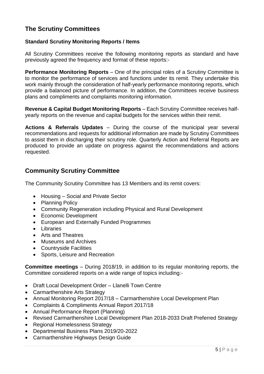# **The Scrutiny Committees**

## **Standard Scrutiny Monitoring Reports / Items**

All Scrutiny Committees receive the following monitoring reports as standard and have previously agreed the frequency and format of these reports:-

**Performance Monitoring Reports** – One of the principal roles of a Scrutiny Committee is to monitor the performance of services and functions under its remit. They undertake this work mainly through the consideration of half-yearly performance monitoring reports, which provide a balanced picture of performance. In addition, the Committees receive business plans and compliments and complaints monitoring information.

**Revenue & Capital Budget Monitoring Reports** – Each Scrutiny Committee receives halfyearly reports on the revenue and capital budgets for the services within their remit.

**Actions & Referrals Updates** – During the course of the municipal year several recommendations and requests for additional information are made by Scrutiny Committees to assist them in discharging their scrutiny role. Quarterly Action and Referral Reports are produced to provide an update on progress against the recommendations and actions requested.

# **Community Scrutiny Committee**

The Community Scrutiny Committee has 13 Members and its remit covers:

- Housing Social and Private Sector
- Planning Policy
- Community Regeneration including Physical and Rural Development
- Economic Development
- European and Externally Funded Programmes
- Libraries
- Arts and Theatres
- Museums and Archives
- Countryside Facilities
- Sports, Leisure and Recreation

**Committee meetings** – During 2018/19, in addition to its regular monitoring reports, the Committee considered reports on a wide range of topics including:-

- Draft Local Development Order Llanelli Town Centre
- Carmarthenshire Arts Strategy
- Annual Monitoring Report 2017/18 Carmarthenshire Local Development Plan
- Complaints & Compliments Annual Report 2017/18
- Annual Performance Report (Planning)
- Revised Carmarthenshire Local Development Plan 2018-2033 Draft Preferred Strategy
- Regional Homelessness Strategy
- Departmental Business Plans 2019/20-2022
- Carmarthenshire Highways Design Guide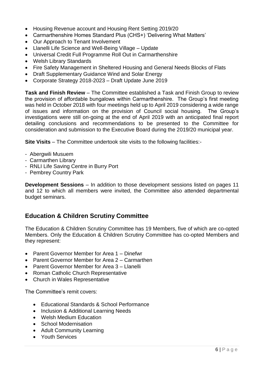- Housing Revenue account and Housing Rent Setting 2019/20
- Carmarthenshire Homes Standard Plus (CHS+) 'Delivering What Matters'
- Our Approach to Tenant Involvement
- Llanelli Life Science and Well-Being Village Update
- Universal Credit Full Programme Roll Out in Carmarthenshire
- Welsh Library Standards
- Fire Safety Management in Sheltered Housing and General Needs Blocks of Flats
- Draft Supplementary Guidance Wind and Solar Energy
- Corporate Strategy 2018-2023 Draft Update June 2019

**Task and Finish Review** – The Committee established a Task and Finish Group to review the provision of affordable bungalows within Carmarthenshire. The Group's first meeting was held in October 2018 with four meetings held up to April 2019 considering a wide range of issues and information on the provision of Council social housing. The Group's investigations were still on-going at the end of April 2019 with an anticipated final report detailing conclusions and recommendations to be presented to the Committee for consideration and submission to the Executive Board during the 2019/20 municipal year.

**Site Visits** – The Committee undertook site visits to the following facilities:-

- Abergwili Musuem
- Carmarthen Library
- RNLI Life Saving Centre in Burry Port
- Pembrey Country Park

**Development Sessions** – In addition to those development sessions listed on pages 11 and 12 to which all members were invited, the Committee also attended departmental budget seminars.

## **Education & Children Scrutiny Committee**

The Education & Children Scrutiny Committee has 19 Members, five of which are co-opted Members. Only the Education & Children Scrutiny Committee has co-opted Members and they represent:

- Parent Governor Member for Area 1 Dinefwr
- Parent Governor Member for Area 2 Carmarthen
- Parent Governor Member for Area 3 Llanelli
- Roman Catholic Church Representative
- Church in Wales Representative

The Committee's remit covers:

- Educational Standards & School Performance
- Inclusion & Additional Learning Needs
- Welsh Medium Education
- School Modernisation
- Adult Community Learning
- Youth Services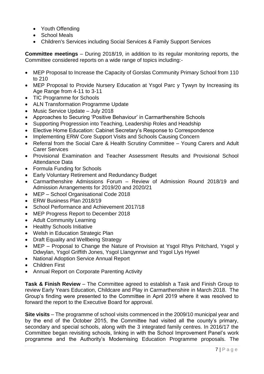- Youth Offending
- School Meals
- Children's Services including Social Services & Family Support Services

**Committee meetings** – During 2018/19, in addition to its regular monitoring reports, the Committee considered reports on a wide range of topics including:-

- MEP Proposal to Increase the Capacity of Gorslas Community Primary School from 110 to 210
- MEP Proposal to Provide Nursery Education at Ysgol Parc y Tywyn by Increasing its Age Range from 4-11 to 3-11
- TIC Programme for Schools
- ALN Transformation Programme Update
- Music Service Update July 2018
- Approaches to Securing 'Positive Behaviour' in Carmarthenshire Schools
- Supporting Progression into Teaching, Leadership Roles and Headship
- Elective Home Education: Cabinet Secretary's Response to Correspondence
- Implementing ERW Core Support Visits and Schools Causing Concern
- Referral from the Social Care & Health Scrutiny Committee Young Carers and Adult Carer Services
- Provisional Examination and Teacher Assessment Results and Provisional School Attendance Data
- Formula Funding for Schools
- Early Voluntary Retirement and Redundancy Budget
- Carmarthenshire Admissions Forum Review of Admission Round 2018/19 and Admission Arrangements for 2019/20 and 2020/21
- MEP School Organisational Code 2018
- ERW Business Plan 2018/19
- School Performance and Achievement 2017/18
- MEP Progress Report to December 2018
- Adult Community Learning
- Healthy Schools Initiative
- Welsh in Education Strategic Plan
- Draft Equality and Wellbeing Strategy
- MEP Proposal to Change the Nature of Provision at Ysgol Rhys Pritchard, Ysgol y Ddwylan, Ysgol Griffith Jones, Ysgol Llangynnwr and Ysgol Llys Hywel
- National Adoption Service Annual Report
- Children First
- Annual Report on Corporate Parenting Activity

**Task & Finish Review** – The Committee agreed to establish a Task and Finish Group to review Early Years Education, Childcare and Play in Carmarthenshire in March 2018. The Group's finding were presented to the Committee in April 2019 where it was resolved to forward the report to the Executive Board for approval.

**Site visits** – The programme of school visits commenced in the 2009/10 municipal year and by the end of the October 2015, the Committee had visited all the county's primary, secondary and special schools, along with the 3 integrated family centres. In 2016/17 the Committee began revisiting schools, linking in with the School Improvement Panel's work programme and the Authority's Modernising Education Programme proposals. The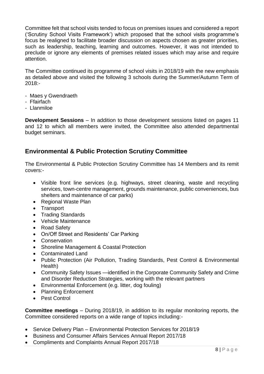Committee felt that school visits tended to focus on premises issues and considered a report ('Scrutiny School Visits Framework') which proposed that the school visits programme's focus be realigned to facilitate broader discussion on aspects chosen as greater priorities, such as leadership, teaching, learning and outcomes. However, it was not intended to preclude or ignore any elements of premises related issues which may arise and require attention.

The Committee continued its programme of school visits in 2018/19 with the new emphasis as detailed above and visited the following 3 schools during the Summer/Autumn Term of 2018:-

- Maes y Gwendraeth
- Ffairfach
- Llanmiloe

**Development Sessions** – In addition to those development sessions listed on pages 11 and 12 to which all members were invited, the Committee also attended departmental budget seminars.

# **Environmental & Public Protection Scrutiny Committee**

The Environmental & Public Protection Scrutiny Committee has 14 Members and its remit covers:-

- Visible front line services (e.g. highways, street cleaning, waste and recycling services, town-centre management, grounds maintenance, public conveniences, bus shelters and maintenance of car parks)
- Regional Waste Plan
- Transport
- Trading Standards
- Vehicle Maintenance
- Road Safety
- On/Off Street and Residents' Car Parking
- Conservation
- Shoreline Management & Coastal Protection
- Contaminated Land
- Public Protection (Air Pollution, Trading Standards, Pest Control & Environmental Health)
- Community Safety Issues —identified in the Corporate Community Safety and Crime and Disorder Reduction Strategies, working with the relevant partners
- Environmental Enforcement (e.g. litter, dog fouling)
- Planning Enforcement
- Pest Control

**Committee meetings** – During 2018/19, in addition to its regular monitoring reports, the Committee considered reports on a wide range of topics including:-

- Service Delivery Plan Environmental Protection Services for 2018/19
- Business and Consumer Affairs Services Annual Report 2017/18
- Compliments and Complaints Annual Report 2017/18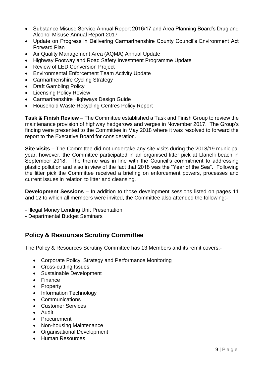- Substance Misuse Service Annual Report 2016/17 and Area Planning Board's Drug and Alcohol Misuse Annual Report 2017
- Update on Progress in Delivering Carmarthenshire County Council's Environment Act Forward Plan
- Air Quality Management Area (AQMA) Annual Update
- Highway Footway and Road Safety Investment Programme Update
- Review of LED Conversion Project
- Environmental Enforcement Team Activity Update
- Carmarthenshire Cycling Strategy
- Draft Gambling Policy
- Licensing Policy Review
- Carmarthenshire Highways Design Guide
- Household Waste Recycling Centres Policy Report

**Task & Finish Review** – The Committee established a Task and Finish Group to review the maintenance provision of highway hedgerows and verges in November 2017. The Group's finding were presented to the Committee in May 2018 where it was resolved to forward the report to the Executive Board for consideration.

**Site visits** – The Committee did not undertake any site visits during the 2018/19 municipal year, however, the Committee participated in an organised litter pick at Llanelli beach in September 2018. The theme was in line with the Council's commitment to addressing plastic pollution and also in view of the fact that 2018 was the "Year of the Sea". Following the litter pick the Committee received a briefing on enforcement powers, processes and current issues in relation to litter and cleansing.

**Development Sessions** – In addition to those development sessions listed on pages 11 and 12 to which all members were invited, the Committee also attended the following:-

- Illegal Money Lending Unit Presentation
- Departmental Budget Seminars

# **Policy & Resources Scrutiny Committee**

The Policy & Resources Scrutiny Committee has 13 Members and its remit covers:-

- Corporate Policy, Strategy and Performance Monitoring
- Cross-cutting Issues
- Sustainable Development
- Finance
- Property
- Information Technology
- **Communications**
- Customer Services
- Audit
- Procurement
- Non-housing Maintenance
- Organisational Development
- **Human Resources**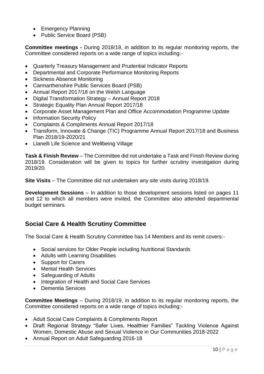- Emergency Planning
- Public Service Board (PSB)

**Committee meetings -** During 2018/19, in addition to its regular monitoring reports, the Committee considered reports on a wide range of topics including:-

- Quarterly Treasury Management and Prudential Indicator Reports
- Departmental and Corporate Performance Monitoring Reports
- Sickness Absence Monitoring
- Carmarthenshire Public Services Board (PSB)
- Annual Report 2017/18 on the Welsh Language
- Digital Transformation Strategy Annual Report 2018
- Strategic Equality Plan Annual Report 2017/18
- Corporate Asset Management Plan and Office Accommodation Programme Update
- Information Security Policy
- Complaints & Compliments Annual Report 2017/18
- Transform, Innovate & Change (TIC) Programme Annual Report 2017/18 and Business Plan 2018/19-2020/21
- Llanelli Life Science and Wellbeing Village

**Task & Finish Review** – The Committee did not undertake a Task and Finish Review during 2018/19. Consideration will be given to topics for further scrutiny investigation during 2019/20.

**Site Visits** – The Committee did not undertaken any site visits during 2018/19.

**Development Sessions** – In addition to those development sessions listed on pages 11 and 12 to which all members were invited, the Committee also attended departmental budget seminars.

# **Social Care & Health Scrutiny Committee**

The Social Care & Health Scrutiny Committee has 14 Members and its remit covers:-

- Social services for Older People including Nutritional Standards
- Adults with Learning Disabilities
- Support for Carers
- Mental Health Services
- Safeguarding of Adults
- Integration of Health and Social Care Services
- Dementia Services

**Committee Meetings** – During 2018/19, in addition to its regular monitoring reports, the Committee considered reports on a wide range of topics including:-

- Adult Social Care Complaints & Compliments Report
- Draft Regional Strategy "Safer Lives, Healthier Families" Tackling Violence Against Women, Domestic Abuse and Sexual Violence in Our Communities 2018-2022
- Annual Report on Adult Safeguarding 2016-18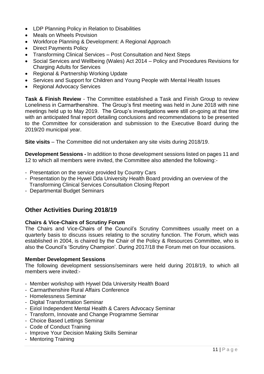- LDP Planning Policy in Relation to Disabilities
- Meals on Wheels Provision
- Workforce Planning & Development: A Regional Approach
- Direct Payments Policy
- Transforming Clinical Services Post Consultation and Next Steps
- Social Services and Wellbeing (Wales) Act 2014 Policy and Procedures Revisions for Charging Adults for Services
- Regional & Partnership Working Update
- Services and Support for Children and Young People with Mental Health Issues
- Regional Advocacy Services

**Task & Finish Review** - The Committee established a Task and Finish Group to review Loneliness in Carmarthenshire. The Group's first meeting was held in June 2018 with nine meetings held up to May 2019. The Group's investigations were still on-going at that time with an anticipated final report detailing conclusions and recommendations to be presented to the Committee for consideration and submission to the Executive Board during the 2019/20 municipal year.

**Site visits** – The Committee did not undertaken any site visits during 2018/19.

**Development Sessions -** In addition to those development sessions listed on pages 11 and 12 to which all members were invited, the Committee also attended the following:-

- Presentation on the service provided by Country Cars
- Presentation by the Hywel Dda University Health Board providing an overview of the Transforming Clinical Services Consultation Closing Report
- Departmental Budget Seminars

# **Other Activities During 2018/19**

## **Chairs & Vice-Chairs of Scrutiny Forum**

The Chairs and Vice-Chairs of the Council's Scrutiny Committees usually meet on a quarterly basis to discuss issues relating to the scrutiny function. The Forum, which was established in 2004, is chaired by the Chair of the Policy & Resources Committee, who is also the Council's 'Scrutiny Champion'. During 2017/18 the Forum met on four occasions.

#### **Member Development Sessions**

The following development sessions/seminars were held during 2018/19, to which all members were invited:-

- Member workshop with Hywel Dda University Health Board
- Carmarthenshire Rural Affairs Conference
- Homelessness Seminar
- Digital Transformation Seminar
- Eiriol Independent Mental Health & Carers Advocacy Seminar
- Transform, Innovate and Change Programme Seminar
- Choice Based Lettings Seminar
- Code of Conduct Training
- Improve Your Decision Making Skills Seminar
- Mentoring Training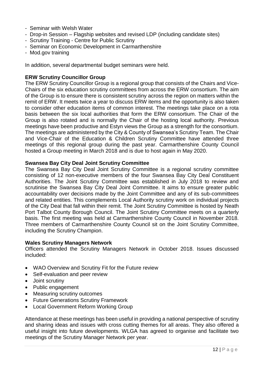- Seminar with Welsh Water
- Drop-in Session Flagship websites and revised LDP (including candidate sites)
- Scrutiny Training Centre for Public Scrutiny
- Seminar on Economic Development in Carmarthenshire
- Mod.gov training

In addition, several departmental budget seminars were held.

#### **ERW Scrutiny Councillor Group**

The ERW Scrutiny Councillor Group is a regional group that consists of the Chairs and Vice-Chairs of the six education scrutiny committees from across the ERW consortium. The aim of the Group is to ensure there is consistent scrutiny across the region on matters within the remit of ERW. It meets twice a year to discuss ERW items and the opportunity is also taken to consider other education items of common interest. The meetings take place on a rota basis between the six local authorities that form the ERW consortium. The Chair of the Group is also rotated and is normally the Chair of the hosting local authority. Previous meetings have been productive and Estyn views the Group as a strength for the consortium. The meetings are administered by the City & County of Swansea's Scrutiny Team. The Chair and Vice-Chair of the Education & Children Scrutiny Committee have attended three meetings of this regional group during the past year. Carmarthenshire County Council hosted a Group meeting in March 2018 and is due to host again in May 2020.

#### **Swansea Bay City Deal Joint Scrutiny Committee**

The Swansea Bay City Deal Joint Scrutiny Committee is a regional scrutiny committee consisting of 12 non-executive members of the four Swansea Bay City Deal Constituent Authorities. The Joint Scrutiny Committee was established in July 2018 to review and scrutinise the Swansea Bay City Deal Joint Committee. It aims to ensure greater public accountability over decisions made by the Joint Committee and any of its sub-committees and related entities. This complements Local Authority scrutiny work on individual projects of the City Deal that fall within their remit. The Joint Scrutiny Committee is hosted by Neath Port Talbot County Borough Council. The Joint Scrutiny Committee meets on a quarterly basis. The first meeting was held at Carmarthenshire County Council in November 2018. Three members of Carmarthenshire County Council sit on the Joint Scrutiny Committee, including the Scrutiny Champion.

#### **Wales Scrutiny Managers Network**

Officers attended the Scrutiny Managers Network in October 2018. Issues discussed included:

- WAO Overview and Scrutiny Fit for the Future review
- Self-evaluation and peer review
- Joint scrutiny
- Public engagement
- Measuring scrutiny outcomes
- Future Generations Scrutiny Framework
- Local Government Reform Working Group

Attendance at these meetings has been useful in providing a national perspective of scrutiny and sharing ideas and issues with cross cutting themes for all areas. They also offered a useful insight into future developments. WLGA has agreed to organise and facilitate two meetings of the Scrutiny Manager Network per year.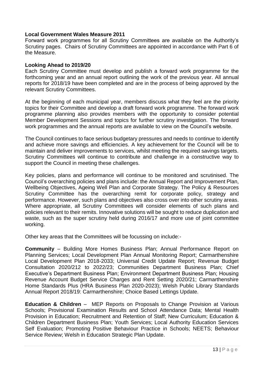#### **Local Government Wales Measure 2011**

Forward work programmes for all Scrutiny Committees are available on the Authority's Scrutiny pages. Chairs of Scrutiny Committees are appointed in accordance with Part 6 of the Measure.

#### **Looking Ahead to 2019/20**

Each Scrutiny Committee must develop and publish a forward work programme for the forthcoming year and an annual report outlining the work of the previous year. All annual reports for 2018/19 have been completed and are in the process of being approved by the relevant Scrutiny Committees.

At the beginning of each municipal year, members discuss what they feel are the priority topics for their Committee and develop a draft forward work programme. The forward work programme planning also provides members with the opportunity to consider potential Member Development Sessions and topics for further scrutiny investigation. The forward work programmes and the annual reports are available to view on the Council's website.

The Council continues to face serious budgetary pressures and needs to continue to identify and achieve more savings and efficiencies. A key achievement for the Council will be to maintain and deliver improvements to services, whilst meeting the required savings targets. Scrutiny Committees will continue to contribute and challenge in a constructive way to support the Council in meeting these challenges.

Key policies, plans and performance will continue to be monitored and scrutinised. The Council's overarching policies and plans include: the Annual Report and Improvement Plan, Wellbeing Objectives, Ageing Well Plan and Corporate Strategy. The Policy & Resources Scrutiny Committee has the overarching remit for corporate policy, strategy and performance. However, such plans and objectives also cross over into other scrutiny areas. Where appropriate, all Scrutiny Committees will consider elements of such plans and policies relevant to their remits. Innovative solutions will be sought to reduce duplication and waste, such as the super scrutiny held during 2016/17 and more use of joint committee working.

Other key areas that the Committees will be focussing on include:-

**Community** – Building More Homes Business Plan; Annual Performance Report on Planning Services; Local Development Plan Annual Monitoring Report; Carmarthenshire Local Development Plan 2018-2033; Universal Credit Update Report; Revenue Budget Consultation 2020/212 to 2022/23; Communities Department Business Plan; Chief Executive's Department Business Plan; Environment Department Business Plan; Housing Revenue Account Budget Service Charges and Rent Setting 2020/21; Carmarthenshire Home Standards Plus (HRA Business Plan 2020-2023); Welsh Public Library Standards Annual Report 2018/19: Carmarthenshire; Choice Based Lettings Update.

**Education & Children** – MEP Reports on Proposals to Change Provision at Various Schools; Provisional Examination Results and School Attendance Data; Mental Health Provision in Education; Recruitment and Retention of Staff; New Curriculum; Education & Children Department Business Plan; Youth Services; Local Authority Education Services Self Evaluation; Promoting Positive Behaviour Practice in Schools; NEETS; Behaviour Service Review; Welsh in Education Strategic Plan Update.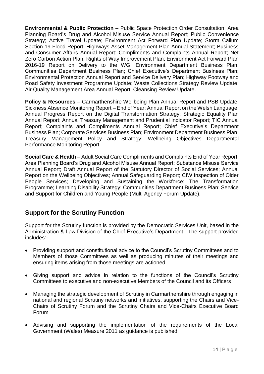**Environmental & Public Protection** – Public Space Protection Order Consultation; Area Planning Board's Drug and Alcohol Misuse Service Annual Report; Public Convenience Strategy; Active Travel Update; Environment Act Forward Plan Update; Storm Callum Section 19 Flood Report; Highways Asset Management Plan Annual Statement; Business and Consumer Affairs Annual Report; Compliments and Complaints Annual Report; Net Zero Carbon Action Plan; Rights of Way Improvement Plan; Environment Act Forward Plan 2016-19 Report on Delivery to the WG; Environment Department Business Plan; Communities Department Business Plan; Chief Executive's Department Business Plan; Environmental Protection Annual Report and Service Delivery Plan; Highway Footway and Road Safety Investment Programme Update; Waste Collections Strategy Review Update; Air Quality Management Area Annual Report; Cleansing Review Update.

**Policy & Resources** – Carmarthenshire Wellbeing Plan Annual Report and PSB Update; Sickness Absence Monitoring Report – End of Year; Annual Report on the Welsh Language; Annual Progress Report on the Digital Transformation Strategy; Strategic Equality Plan Annual Report; Annual Treasury Management and Prudential Indicator Report; TIC Annual Report; Complaints and Compliments Annual Report; Chief Executive's Department Business Plan; Corporate Services Business Plan; Environment Department Business Plan; Treasury Management Policy and Strategy; Wellbeing Objectives Departmental Performance Monitoring Report.

**Social Care & Health** – Adult Social Care Compliments and Complaints End of Year Report; Area Planning Board's Drug and Alcohol Misuse Annual Report; Substance Misuse Service Annual Report; Draft Annual Report of the Statutory Director of Social Services; Annual Report on the Wellbeing Objectives; Annual Safeguarding Report; CIW Inspection of Older People Services; Developing and Sustaining the Workforce; The Transformation Programme; Learning Disability Strategy; Communities Department Business Plan; Service and Support for Children and Young People (Multi Agency Forum Update).

# **Support for the Scrutiny Function**

Support for the Scrutiny function is provided by the Democratic Services Unit, based in the Administration & Law Division of the Chief Executive's Department. The support provided includes:-

- Providing support and constitutional advice to the Council's Scrutiny Committees and to Members of those Committees as well as producing minutes of their meetings and ensuring items arising from those meetings are actioned
- Giving support and advice in relation to the functions of the Council's Scrutiny Committees to executive and non-executive Members of the Council and its Officers
- Managing the strategic development of Scrutiny in Carmarthenshire through engaging in national and regional Scrutiny networks and initiatives, supporting the Chairs and Vice-Chairs of Scrutiny Forum and the Scrutiny Chairs and Vice-Chairs Executive Board Forum
- Advising and supporting the implementation of the requirements of the Local Government (Wales) Measure 2011 as guidance is published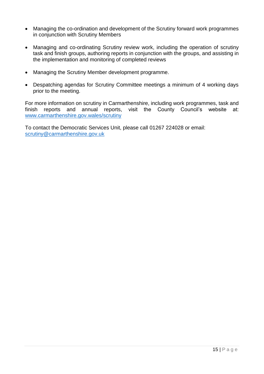- Managing the co-ordination and development of the Scrutiny forward work programmes in conjunction with Scrutiny Members
- Managing and co-ordinating Scrutiny review work, including the operation of scrutiny task and finish groups, authoring reports in conjunction with the groups, and assisting in the implementation and monitoring of completed reviews
- Managing the Scrutiny Member development programme.
- Despatching agendas for Scrutiny Committee meetings a minimum of 4 working days prior to the meeting.

For more information on scrutiny in Carmarthenshire, including work programmes, task and finish reports and annual reports, visit the County Council's website at: [www.carmarthenshire.gov.wales/scrutiny](http://www.carmarthenshire.gov.wales/scrutiny)

To contact the Democratic Services Unit, please call 01267 224028 or email: [scrutiny@carmarthenshire.gov.uk](mailto:scrutiny@carmarthenshire.gov.uk)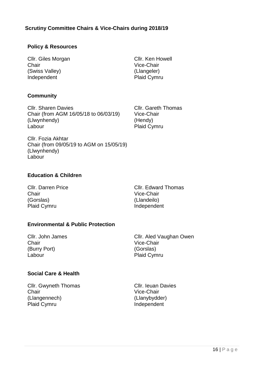## **Scrutiny Committee Chairs & Vice-Chairs during 2018/19**

#### **Policy & Resources**

Cllr. Giles Morgan **Chair** (Swiss Valley) Independent

#### **Community**

Cllr. Sharen Davies Chair (from AGM 16/05/18 to 06/03/19) (Llwynhendy) Labour

Cllr. Ken Howell Vice-Chair (Llangeler) Plaid Cymru

Cllr. Gareth Thomas Vice-Chair (Hendy) Plaid Cymru

Cllr. Fozia Akhtar Chair (from 09/05/19 to AGM on 15/05/19) (Llwynhendy) Labour

#### **Education & Children**

Cllr. Darren Price Chair (Gorslas) Plaid Cymru

Cllr. Edward Thomas Vice-Chair (Llandeilo) Independent

## **Environmental & Public Protection**

Cllr. John James **Chair** (Burry Port) Labour

Cllr. Aled Vaughan Owen Vice-Chair (Gorslas) Plaid Cymru

#### **Social Care & Health**

Cllr. Gwyneth Thomas **Chair** (Llangennech) Plaid Cymru

Cllr. Ieuan Davies Vice-Chair (Llanybydder) Independent